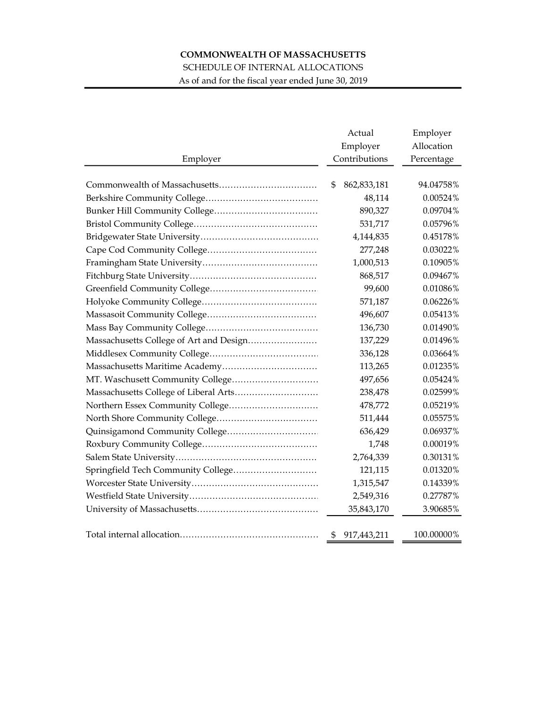## COMMONWEALTH OF MASSACHUSETTS

SCHEDULE OF INTERNAL ALLOCATIONS

As of and for the fiscal year ended June 30, 2019

|          | Actual                    | Employer                 |
|----------|---------------------------|--------------------------|
| Employer | Employer<br>Contributions | Allocation<br>Percentage |
|          |                           |                          |
|          | \$ 862,833,181            | 94.04758%                |
|          | 48,114                    | 0.00524%                 |
|          | 890,327                   | 0.09704%                 |
|          | 531,717                   | 0.05796%                 |
|          | 4,144,835                 | 0.45178%                 |
|          | 277,248                   | 0.03022%                 |
|          | 1,000,513                 | 0.10905%                 |
|          | 868,517                   | 0.09467%                 |
|          | 99,600                    | 0.01086%                 |
|          | 571,187                   | 0.06226%                 |
|          | 496,607                   | 0.05413%                 |
|          | 136,730                   | 0.01490%                 |
|          | 137,229                   | 0.01496%                 |
|          | 336,128                   | 0.03664%                 |
|          | 113,265                   | 0.01235%                 |
|          | 497,656                   | 0.05424%                 |
|          | 238,478                   | 0.02599%                 |
|          | 478,772                   | 0.05219%                 |
|          | 511,444                   | 0.05575%                 |
|          | 636,429                   | 0.06937%                 |
|          | 1,748                     | 0.00019%                 |
|          | 2,764,339                 | 0.30131%                 |
|          | 121,115                   | 0.01320%                 |
|          | 1,315,547                 | 0.14339%                 |
|          | 2,549,316                 | 0.27787%                 |
|          | 35,843,170                | 3.90685%                 |
|          | \$ 917,443,211            | 100.00000%               |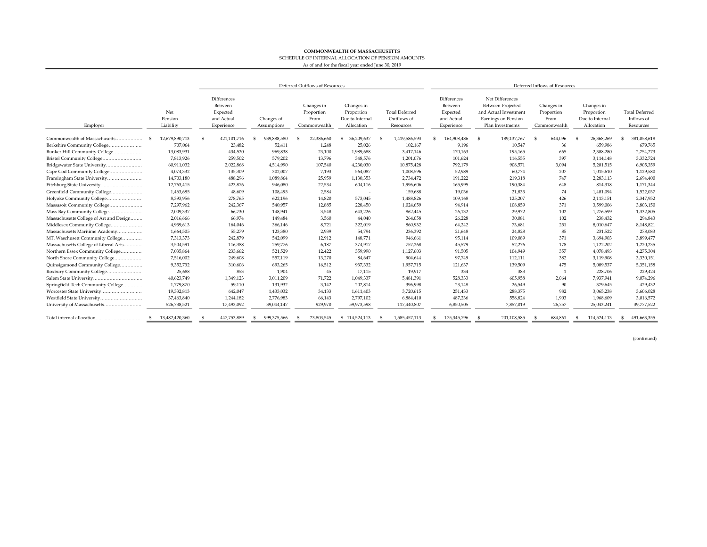## COMMONWEALTH OF MASSACHUSETTS

SCHEDULE OF INTERNAL ALLOCATION OF PENSION AMOUNTS

## As of and for the fiscal year ended June 30, 2019

|                                         |                             |                | Deferred Outflows of Resources                                 |                           |  |                                                  |                                                           |    |                                                   | Deferred Inflows of Resources |                                                                |  |                                                                                                          |  |                                                  |    |                                                           |    |                                                  |
|-----------------------------------------|-----------------------------|----------------|----------------------------------------------------------------|---------------------------|--|--------------------------------------------------|-----------------------------------------------------------|----|---------------------------------------------------|-------------------------------|----------------------------------------------------------------|--|----------------------------------------------------------------------------------------------------------|--|--------------------------------------------------|----|-----------------------------------------------------------|----|--------------------------------------------------|
| Employer                                | Net<br>Pension<br>Liability |                | Differences<br>Between<br>Expected<br>and Actual<br>Experience | Changes of<br>Assumptions |  | Changes in<br>Proportion<br>From<br>Commonwealth | Changes in<br>Proportion<br>Due to Internal<br>Allocation |    | <b>Total Deferred</b><br>Outflows of<br>Resources |                               | Differences<br>Between<br>Expected<br>and Actual<br>Experience |  | Net Differences<br>Between Projected<br>and Actual Investment<br>Earnings on Pension<br>Plan Investments |  | Changes in<br>Proportion<br>From<br>Commonwealth |    | Changes in<br>Proportion<br>Due to Internal<br>Allocation |    | <b>Total Deferred</b><br>Inflows of<br>Resources |
| Commonwealth of Massachusetts           | 12.679.890.713              | $\mathfrak{s}$ | 421, 101, 716                                                  | 939,888,580               |  | 22,386,660                                       | 36,209,637                                                |    | 1,419,586,593                                     |                               | 164,908,486                                                    |  | 189.137.767                                                                                              |  | 644,096                                          |    | 26,368,269                                                |    | 381,058,618                                      |
| Berkshire Community College             | 707,064                     |                | 23,482                                                         | 52,411                    |  | 1,248                                            | 25,026                                                    |    | 102,167                                           |                               | 9,196                                                          |  | 10,547                                                                                                   |  | 36                                               |    | 659,986                                                   |    | 679,765                                          |
| Bunker Hill Community College           | 13,083,931                  |                | 434,520                                                        | 969,838                   |  | 23,100                                           | 1,989,688                                                 |    | 3,417,146                                         |                               | 170,163                                                        |  | 195,165                                                                                                  |  | 665                                              |    | 2,388,280                                                 |    | 2,754,273                                        |
|                                         | 7,813,926                   |                | 259,502                                                        | 579,202                   |  | 13,796                                           | 348,576                                                   |    | 1,201,076                                         |                               | 101,624                                                        |  | 116,555                                                                                                  |  | 397                                              |    | 3,114,148                                                 |    | 3,332,724                                        |
| Bridgewater State University            | 60,911,032                  |                | 2,022,868                                                      | 4,514,990                 |  | 107,540                                          | 4,230,030                                                 |    | 10,875,428                                        |                               | 792,179                                                        |  | 908,571                                                                                                  |  | 3,094                                            |    | 5,201,515                                                 |    | 6,905,359                                        |
| Cape Cod Community College              | 4,074,332                   |                | 135,309                                                        | 302,007                   |  | 7,193                                            | 564,087                                                   |    | 1,008,596                                         |                               | 52,989                                                         |  | 60,774                                                                                                   |  | 207                                              |    | 1,015,610                                                 |    | 1,129,580                                        |
| Framingham State University             | 14,703,180                  |                | 488,296                                                        | 1,089,864                 |  | 25,959                                           | 1,130,353                                                 |    | 2,734,472                                         |                               | 191,222                                                        |  | 219,318                                                                                                  |  | 747                                              |    | 2,283,113                                                 |    | 2,694,400                                        |
| Fitchburg State University              | 12,763,415                  |                | 423,876                                                        | 946,080                   |  | 22,534                                           | 604,116                                                   |    | 1,996,606                                         |                               | 165,995                                                        |  | 190,384                                                                                                  |  | 648                                              |    | 814,318                                                   |    | 1,171,344                                        |
| Greenfield Community College            | 1,463,685                   |                | 48,609                                                         | 108,495                   |  | 2,584                                            | $\overline{\phantom{a}}$                                  |    | 159,688                                           |                               | 19,036                                                         |  | 21,833                                                                                                   |  | 74                                               |    | 1,481,094                                                 |    | 1,522,037                                        |
| Holyoke Community College               | 8,393,956                   |                | 278,765                                                        | 622,196                   |  | 14,820                                           | 573,045                                                   |    | 1,488,826                                         |                               | 109,168                                                        |  | 125,207                                                                                                  |  | 426                                              |    | 2,113,151                                                 |    | 2,347,952                                        |
| Massasoit Community College             | 7,297,962                   |                | 242,367                                                        | 540,957                   |  | 12.885                                           | 228,450                                                   |    | 1,024,659                                         |                               | 94,914                                                         |  | 108,859                                                                                                  |  | 371                                              |    | 3,599,006                                                 |    | 3,803,150                                        |
| Mass Bay Community College              | 2,009,337                   |                | 66,730                                                         | 148,941                   |  | 3,548                                            | 643,226                                                   |    | 862,445                                           |                               | 26,132                                                         |  | 29,972                                                                                                   |  | 102                                              |    | 1,276,599                                                 |    | 1,332,805                                        |
| Massachusetts College of Art and Design | 2,016,666                   |                | 66,974                                                         | 149,484                   |  | 3,560                                            | 44,040                                                    |    | 264,058                                           |                               | 26,228                                                         |  | 30,081                                                                                                   |  | 102                                              |    | 238,432                                                   |    | 294,843                                          |
| Middlesex Community College             | 4,939,613                   |                | 164,046                                                        | 366,146                   |  | 8,721                                            | 322,019                                                   |    | 860,932                                           |                               | 64,242                                                         |  | 73,681                                                                                                   |  | 251                                              |    | 8,010,647                                                 |    | 8,148,821                                        |
| Massachusetts Maritime Academy          | 1,664,505                   |                | 55,279                                                         | 123,380                   |  | 2,939                                            | 54,794                                                    |    | 236,392                                           |                               | 21,648                                                         |  | 24,828                                                                                                   |  | 85                                               |    | 231,522                                                   |    | 278,083                                          |
| MT. Waschusett Community College        | 7,313,373                   |                | 242,879                                                        | 542,099                   |  | 12,912                                           | 148,771                                                   |    | 946,661                                           |                               | 95,114                                                         |  | 109,089                                                                                                  |  | 371                                              |    | 3,694,903                                                 |    | 3,899,477                                        |
| Massachusetts College of Liberal Arts   | 3,504,591                   |                | 116,388                                                        | 259,776                   |  | 6,187                                            | 374,917                                                   |    | 757,268                                           |                               | 45,579                                                         |  | 52,276                                                                                                   |  | 178                                              |    | 1,122,202                                                 |    | 1,220,235                                        |
| Northern Essex Community College        | 7,035,864                   |                | 233,662                                                        | 521,529                   |  | 12,422                                           | 359,990                                                   |    | 1,127,603                                         |                               | 91,505                                                         |  | 104,949                                                                                                  |  | 357                                              |    | 4,078,493                                                 |    | 4,275,304                                        |
| North Shore Community College           | 7,516,002                   |                | 249,608                                                        | 557,119                   |  | 13,270                                           | 84,647                                                    |    | 904,644                                           |                               | 97.749                                                         |  | 112,111                                                                                                  |  | 382                                              |    | 3,119,908                                                 |    | 3,330,151                                        |
| Quinsigamond Community College          | 9,352,732                   |                | 310,606                                                        | 693,265                   |  | 16,512                                           | 937,332                                                   |    | 1,957,715                                         |                               | 121,637                                                        |  | 139,509                                                                                                  |  | 475                                              |    | 5,089,537                                                 |    | 5,351,158                                        |
| Roxbury Community College               | 25,688                      |                | 853                                                            | 1,904                     |  | 45                                               | 17,115                                                    |    | 19,917                                            |                               | 334                                                            |  | 383                                                                                                      |  |                                                  |    | 228,706                                                   |    | 229,424                                          |
|                                         | 40,623,749                  |                | 1,349,123                                                      | 3,011,209                 |  | 71,722                                           | 1,049,337                                                 |    | 5,481,391                                         |                               | 528,333                                                        |  | 605,958                                                                                                  |  | 2,064                                            |    | 7,937,941                                                 |    | 9,074,296                                        |
| Springfield Tech Community College      | 1,779,870                   |                | 59,110                                                         | 131,932                   |  | 3,142                                            | 202,814                                                   |    | 396,998                                           |                               | 23,148                                                         |  | 26,549                                                                                                   |  | 90                                               |    | 379,645                                                   |    | 429,432                                          |
| Worcester State University              | 19,332,813                  |                | 642,047                                                        | 1,433,032                 |  | 34,133                                           | 1,611,403                                                 |    | 3,720,615                                         |                               | 251,433                                                        |  | 288,375                                                                                                  |  | 982                                              |    | 3,065,238                                                 |    | 3,606,028                                        |
| Westfield State University              | 37,463,840                  |                | 1,244,182                                                      | 2,776,983                 |  | 66,143                                           | 2,797,102                                                 |    | 6,884,410                                         |                               | 487,236                                                        |  | 558,824                                                                                                  |  | 1,903                                            |    | 1,968,609                                                 |    | 3,016,572                                        |
| University of Massachusetts             | 526,738,521                 |                | 17,493,092                                                     | 39,044,147                |  | 929,970                                          | 59,973,598                                                |    | 117,440,807                                       |                               | 6,850,505                                                      |  | 7,857,019                                                                                                |  | 26,757                                           |    | 25,043,241                                                |    | 39,777,522                                       |
|                                         | 13,482,420,360<br>- S       |                | 447,753,889                                                    | 999,375,566               |  | 23,803,545                                       | \$114,524,113                                             | -S | 1,585,457,113                                     | £.                            | 175,345,796                                                    |  | 201,108,585                                                                                              |  | 684,861                                          | -S | 114,524,113                                               | S. | 491,663,355                                      |

(continued)